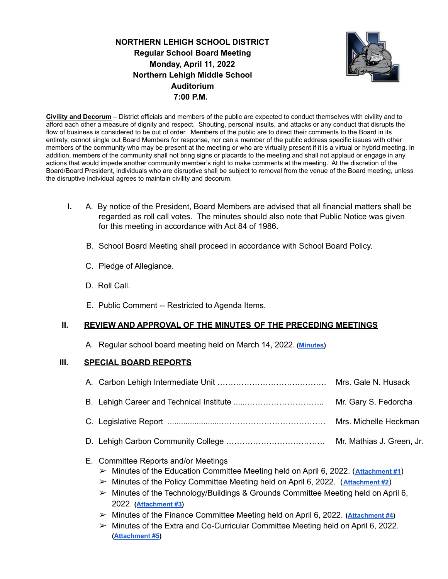**NORTHERN LEHIGH SCHOOL DISTRICT Regular School Board Meeting Monday, April 11, 2022 Northern Lehigh Middle School Auditorium 7:00 P.M.**



**Civility and Decorum** – District officials and members of the public are expected to conduct themselves with civility and to afford each other a measure of dignity and respect. Shouting, personal insults, and attacks or any conduct that disrupts the flow of business is considered to be out of order. Members of the public are to direct their comments to the Board in its entirety, cannot single out Board Members for response, nor can a member of the public address specific issues with other members of the community who may be present at the meeting or who are virtually present if it is a virtual or hybrid meeting. In addition, members of the community shall not bring signs or placards to the meeting and shall not applaud or engage in any actions that would impede another community member's right to make comments at the meeting. At the discretion of the Board/Board President, individuals who are disruptive shall be subject to removal from the venue of the Board meeting, unless the disruptive individual agrees to maintain civility and decorum.

- **I.** A. By notice of the President, Board Members are advised that all financial matters shall be regarded as roll call votes. The minutes should also note that Public Notice was given for this meeting in accordance with Act 84 of 1986.
	- B. School Board Meeting shall proceed in accordance with School Board Policy.
	- C. Pledge of Allegiance.
	- D. Roll Call.
	- E. Public Comment -- Restricted to Agenda Items.

### **II. REVIEW AND APPROVAL OF THE MINUTES OF THE PRECEDING MEETINGS**

A. Regular school board meeting held on March 14, 2022. **([Minutes\)](https://drive.google.com/file/d/1y3xqwArC8Wd9or1Dgl5NAX-GTL9sFBy3/view?usp=sharing)**

### **III. SPECIAL BOARD REPORTS**

# E. Committee Reports and/or Meetings

- ➢ Minutes of the Education Committee Meeting held on April 6, 2022. (**[Attachment #1](https://drive.google.com/file/d/1eItWWD4_M0nkmzVwOn6OmYK-6GsArKZj/view?usp=sharing)**)
- ➢ Minutes of the Policy Committee Meeting held on April 6, 2022. (**[Attachment #2](https://drive.google.com/file/d/1VDGkM4-JHv27KiCz62uV8Z_hWVxYXvGm/view?usp=sharing)**)
- $\triangleright$  Minutes of the Technology/Buildings & Grounds Committee Meeting held on April 6, 2022. **([Attachment #3\)](https://drive.google.com/file/d/1Je6Zn4dDjKBB_tjaOH9WbRMbdpuB6tB6/view?usp=sharing)**
- ➢ Minutes of the Finance Committee Meeting held on April 6, 2022. **([Attachment #4\)](https://drive.google.com/file/d/1XYphS-hgTQf8X0BdD4hOBiZCVvbfYVtb/view?usp=sharing)**
- ➢ Minutes of the Extra and Co-Curricular Committee Meeting held on April 6, 2022. **([Attachment #5](https://drive.google.com/file/d/1h8vvEX6eFtLl1Ofc09mxqaIMLGuG29MV/view?usp=sharing))**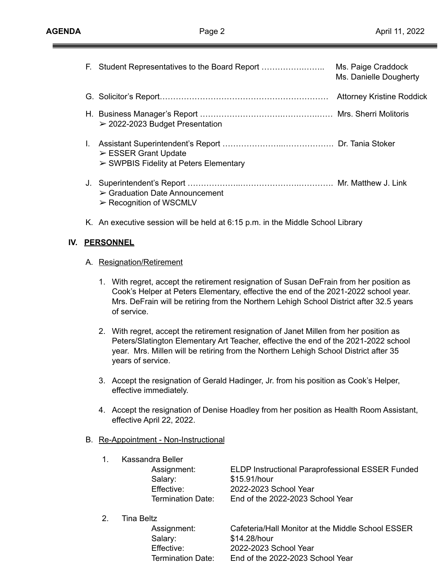═

**IV.** 

|                  | F. Student Representatives to the Board Report                                                                                                                                                                                                                                           | Ms. Paige Craddock<br>Ms. Danielle Dougherty |  |
|------------------|------------------------------------------------------------------------------------------------------------------------------------------------------------------------------------------------------------------------------------------------------------------------------------------|----------------------------------------------|--|
|                  |                                                                                                                                                                                                                                                                                          |                                              |  |
|                  | $\geq$ 2022-2023 Budget Presentation                                                                                                                                                                                                                                                     |                                              |  |
| L.               | $\triangleright$ ESSER Grant Update<br>$\triangleright$ SWPBIS Fidelity at Peters Elementary                                                                                                                                                                                             |                                              |  |
|                  | $\triangleright$ Graduation Date Announcement<br>$\triangleright$ Recognition of WSCMLV                                                                                                                                                                                                  |                                              |  |
|                  | K. An executive session will be held at 6:15 p.m. in the Middle School Library                                                                                                                                                                                                           |                                              |  |
| <b>PERSONNEL</b> |                                                                                                                                                                                                                                                                                          |                                              |  |
|                  | A. Resignation/Retirement                                                                                                                                                                                                                                                                |                                              |  |
|                  | 1. With regret, accept the retirement resignation of Susan DeFrain from her position as<br>Cook's Helper at Peters Elementary, effective the end of the 2021-2022 school year.<br>Mrs. DeFrain will be retiring from the Northern Lehigh School District after 32.5 years<br>of service. |                                              |  |

- 2. With regret, accept the retirement resignation of Janet Millen from her position as Peters/Slatington Elementary Art Teacher, effective the end of the 2021-2022 school year. Mrs. Millen will be retiring from the Northern Lehigh School District after 35 years of service.
- 3. Accept the resignation of Gerald Hadinger, Jr. from his position as Cook's Helper, effective immediately.
- 4. Accept the resignation of Denise Hoadley from her position as Health Room Assistant, effective April 22, 2022.
- B. Re-Appointment Non-Instructional

|    | Kassandra Beller         |                                                         |  |
|----|--------------------------|---------------------------------------------------------|--|
|    | Assignment:              | <b>ELDP Instructional Paraprofessional ESSER Funded</b> |  |
|    | Salary:                  | \$15.91/hour                                            |  |
|    | Effective:               | 2022-2023 School Year                                   |  |
|    | <b>Termination Date:</b> | End of the 2022-2023 School Year                        |  |
| 2. | Tina Beltz               |                                                         |  |
|    | Assignment:              | Cafeteria/Hall Monitor at the Middle School ESSER       |  |
|    | Salary:                  | \$14.28/hour                                            |  |
|    | Effective:               | 2022-2023 School Year                                   |  |

Termination Date: End of the 2022-2023 School Year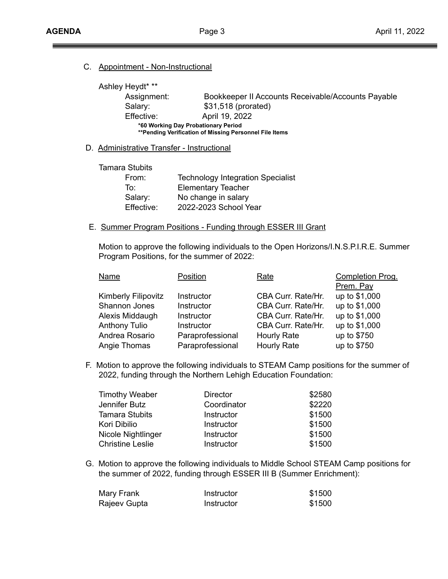#### C. Appointment - Non-Instructional

Ashley Heydt\* \*\* Assignment: Bookkeeper II Accounts Receivable/Accounts Payable Salary: \$31,518 (prorated) Effective: April 19, 2022 **\*60 Working Day Probationary Period \*\*Pending Verification of Missing Personnel File Items**

#### D. Administrative Transfer - Instructional

Tamara Stubits From: Technology Integration Specialist To: Elementary Teacher Salary: No change in salary Effective: 2022-2023 School Year

#### E. Summer Program Positions - Funding through ESSER III Grant

Motion to approve the following individuals to the Open Horizons/I.N.S.P.I.R.E. Summer Program Positions, for the summer of 2022:

| Name                       | Position         | Rate               | Completion Prog. |
|----------------------------|------------------|--------------------|------------------|
|                            |                  |                    | Prem. Pay        |
| <b>Kimberly Filipovitz</b> | Instructor       | CBA Curr. Rate/Hr. | up to \$1,000    |
| Shannon Jones              | Instructor       | CBA Curr. Rate/Hr. | up to \$1,000    |
| Alexis Middaugh            | Instructor       | CBA Curr. Rate/Hr. | up to \$1,000    |
| <b>Anthony Tulio</b>       | Instructor       | CBA Curr. Rate/Hr. | up to \$1,000    |
| Andrea Rosario             | Paraprofessional | Hourly Rate        | up to \$750      |
| Angie Thomas               | Paraprofessional | Hourly Rate        | up to \$750      |

F. Motion to approve the following individuals to STEAM Camp positions for the summer of 2022, funding through the Northern Lehigh Education Foundation:

| <b>Timothy Weaber</b>   | <b>Director</b> | \$2580 |
|-------------------------|-----------------|--------|
| Jennifer Butz           | Coordinator     | \$2220 |
| <b>Tamara Stubits</b>   | Instructor      | \$1500 |
| Kori Dibilio            | Instructor      | \$1500 |
| Nicole Nightlinger      | Instructor      | \$1500 |
| <b>Christine Leslie</b> | Instructor      | \$1500 |

G. Motion to approve the following individuals to Middle School STEAM Camp positions for the summer of 2022, funding through ESSER III B (Summer Enrichment):

| Mary Frank   | Instructor | \$1500 |
|--------------|------------|--------|
| Rajeev Gupta | Instructor | \$1500 |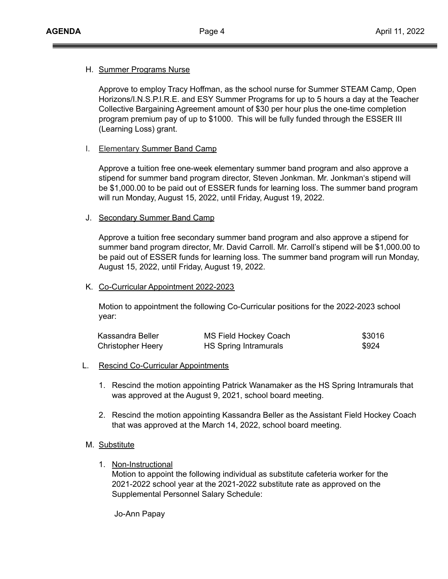#### H. Summer Programs Nurse

Approve to employ Tracy Hoffman, as the school nurse for Summer STEAM Camp, Open Horizons/I.N.S.P.I.R.E. and ESY Summer Programs for up to 5 hours a day at the Teacher Collective Bargaining Agreement amount of \$30 per hour plus the one-time completion program premium pay of up to \$1000. This will be fully funded through the ESSER III (Learning Loss) grant.

#### I. Elementary Summer Band Camp

Approve a tuition free one-week elementary summer band program and also approve a stipend for summer band program director, Steven Jonkman. Mr. Jonkman's stipend will be \$1,000.00 to be paid out of ESSER funds for learning loss. The summer band program will run Monday, August 15, 2022, until Friday, August 19, 2022.

#### J. Secondary Summer Band Camp

Approve a tuition free secondary summer band program and also approve a stipend for summer band program director, Mr. David Carroll. Mr. Carroll's stipend will be \$1,000.00 to be paid out of ESSER funds for learning loss. The summer band program will run Monday, August 15, 2022, until Friday, August 19, 2022.

#### K. Co-Curricular Appointment 2022-2023

Motion to appointment the following Co-Curricular positions for the 2022-2023 school year:

| Kassandra Beller         | <b>MS Field Hockey Coach</b> | \$3016 |
|--------------------------|------------------------------|--------|
| <b>Christopher Heery</b> | HS Spring Intramurals        | \$924  |

- L. Rescind Co-Curricular Appointments
	- 1. Rescind the motion appointing Patrick Wanamaker as the HS Spring Intramurals that was approved at the August 9, 2021, school board meeting.
	- 2. Rescind the motion appointing Kassandra Beller as the Assistant Field Hockey Coach that was approved at the March 14, 2022, school board meeting.

### M. Substitute

1. Non-Instructional

Motion to appoint the following individual as substitute cafeteria worker for the 2021-2022 school year at the 2021-2022 substitute rate as approved on the Supplemental Personnel Salary Schedule:

Jo-Ann Papay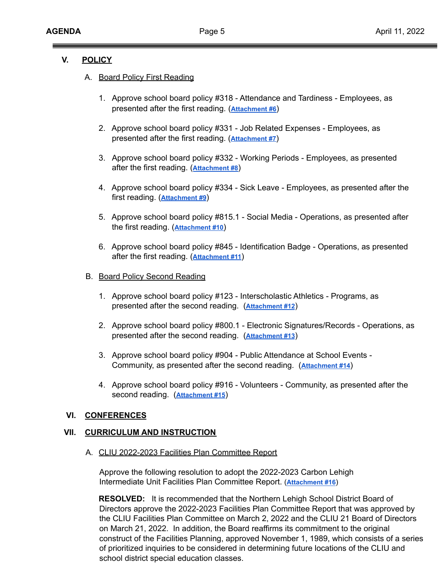### **V. POLICY**

#### A. Board Policy First Reading

- 1. Approve school board policy #318 Attendance and Tardiness Employees, as presented after the first reading. (**[Attachment](https://drive.google.com/file/d/1te4YpI7mI6ieIezrsadVUDAG96OxfEHd/view?usp=sharing) #6**)
- 2. Approve school board policy #331 Job Related Expenses Employees, as presented after the first reading. (**[Attachment #7](https://drive.google.com/file/d/1I1TTzS0Om1wzas7In8NKhYkQzN44Pl9a/view?usp=sharing)**)
- 3. Approve school board policy #332 Working Periods Employees, as presented after the first reading. (**[Attachment #8](https://drive.google.com/file/d/1IMXsHQALGy7l695QkCTNub6GssTRMo1b/view?usp=sharing)**)
- 4. Approve school board policy #334 Sick Leave Employees, as presented after the first reading. (**[Attachment #9](https://drive.google.com/file/d/1wpTIwEWv8ISMMXubUIKekIwDb-nU7FcA/view?usp=sharing)**)
- 5. Approve school board policy #815.1 Social Media Operations, as presented after the first reading. (**[Attachment #10](https://drive.google.com/file/d/17fK1jVDurK6yhADv8cXwemacNg4HgNlL/view?usp=sharing)**)
- 6. Approve school board policy #845 Identification Badge Operations, as presented after the first reading. (**[Attachment #11](https://drive.google.com/file/d/1_93ag2tZG3o-pej3y0kK23TAWwsBRqgi/view?usp=sharing)**)

#### B. Board Policy Second Reading

- 1. Approve school board policy #123 Interscholastic Athletics Programs, as presented after the second reading. (**[Attachment](https://drive.google.com/file/d/1kGQbCIPg0MvrtRc_Wsbhwt2CobNyNs3h/view?usp=sharing) #12**)
- 2. Approve school board policy #800.1 Electronic Signatures/Records Operations, as presented after the second reading. (**[Attachment](https://drive.google.com/file/d/1zwH3LkrmQCBw55UfYdQIIcLfApbX4hca/view?usp=sharing) #13**)
- 3. Approve school board policy #904 Public Attendance at School Events Community, as presented after the second reading. (**[Attachment #14](https://drive.google.com/file/d/1pljb98nYwrfg_jIOj-aTCHVu-NvmVlp2/view?usp=sharing)**)
- 4. Approve school board policy #916 Volunteers Community, as presented after the second reading. (**[Attachment #15](https://drive.google.com/file/d/1OaNBVnh4Hx09Vs_vPYpm5DbLv6XcfSyT/view?usp=sharing)**)

### **VI. CONFERENCES**

#### **VII. CURRICULUM AND INSTRUCTION**

#### A. CLIU 2022-2023 Facilities Plan Committee Report

Approve the following resolution to adopt the 2022-2023 Carbon Lehigh Intermediate Unit Facilities Plan Committee Report. (**[Attachment #16](https://drive.google.com/file/d/1SvLWZ5Kk2tRdj0GnOQi6ZrxRy0SB3kAX/view?usp=sharing)**)

**RESOLVED:** It is recommended that the Northern Lehigh School District Board of Directors approve the 2022-2023 Facilities Plan Committee Report that was approved by the CLIU Facilities Plan Committee on March 2, 2022 and the CLIU 21 Board of Directors on March 21, 2022. In addition, the Board reaffirms its commitment to the original construct of the Facilities Planning, approved November 1, 1989, which consists of a series of prioritized inquiries to be considered in determining future locations of the CLIU and school district special education classes.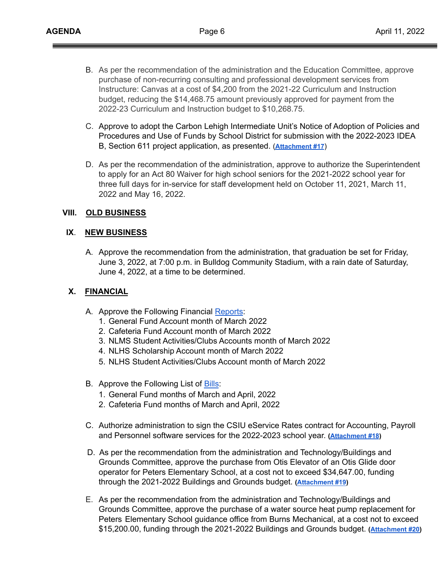- B. As per the recommendation of the administration and the Education Committee, approve purchase of non-recurring consulting and professional development services from Instructure: Canvas at a cost of \$4,200 from the 2021-22 Curriculum and Instruction budget, reducing the \$14,468.75 amount previously approved for payment from the 2022-23 Curriculum and Instruction budget to \$10,268.75.
- C. Approve to adopt the Carbon Lehigh Intermediate Unit's Notice of Adoption of Policies and Procedures and Use of Funds by School District for submission with the 2022-2023 IDEA B, Section 611 project application, as presented. (**[Attachment #17](https://drive.google.com/file/d/179imVEnZ7wjcF4JRFpfnYZaSL5Da5sxz/view?usp=sharing)**)
- D. As per the recommendation of the administration, approve to authorize the Superintendent to apply for an Act 80 Waiver for high school seniors for the 2021-2022 school year for three full days for in-service for staff development held on October 11, 2021, March 11, 2022 and May 16, 2022.

### **VIII. OLD BUSINESS**

### **IX**. **NEW BUSINESS**

A. Approve the recommendation from the administration, that graduation be set for Friday, June 3, 2022, at 7:00 p.m. in Bulldog Community Stadium, with a rain date of Saturday, June 4, 2022, at a time to be determined.

### **X. FINANCIAL**

- A. Approve the Following Financial [Reports](https://drive.google.com/file/d/1e1o1OpWbb5thtnQuny-irWUnh952wDkf/view?usp=sharing):
	- 1. General Fund Account month of March 2022
	- 2. Cafeteria Fund Account month of March 2022
	- 3. NLMS Student Activities/Clubs Accounts month of March 2022
	- 4. NLHS Scholarship Account month of March 2022
	- 5. NLHS Student Activities/Clubs Account month of March 2022
- B. Approve the Following List of [Bills](https://drive.google.com/file/d/1bnyJmuQqIbgV9FLH_crqh21q5Ii9aaFd/view?usp=sharing):
	- 1. General Fund months of March and April, 2022
	- 2. Cafeteria Fund months of March and April, 2022
- C. Authorize administration to sign the CSIU eService Rates contract for Accounting, Payroll and Personnel software services for the 2022-2023 school year. **[\(Attachment #18](https://drive.google.com/file/d/1c2-10dhjsecPTNv4M5wUJPkktBPbg8zh/view?usp=sharing))**
- D. As per the recommendation from the administration and Technology/Buildings and Grounds Committee, approve the purchase from Otis Elevator of an Otis Glide door operator for Peters Elementary School, at a cost not to exceed \$34,647.00, funding through the 2021-2022 Buildings and Grounds budget. **[\(Attachment #19](https://drive.google.com/file/d/1sgSzMiood-FgAz4DG284I1qw8r-FNqTU/view?usp=sharing))**
- E. As per the recommendation from the administration and Technology/Buildings and Grounds Committee, approve the purchase of a water source heat pump replacement for Peters Elementary School guidance office from Burns Mechanical, at a cost not to exceed \$15,200.00, funding through the 2021-2022 Buildings and Grounds budget. **([Attachment #20\)](https://drive.google.com/file/d/1bEr2LAk7Mkkbd83ImpeRs3lZ1WU3ka-s/view?usp=sharing)**